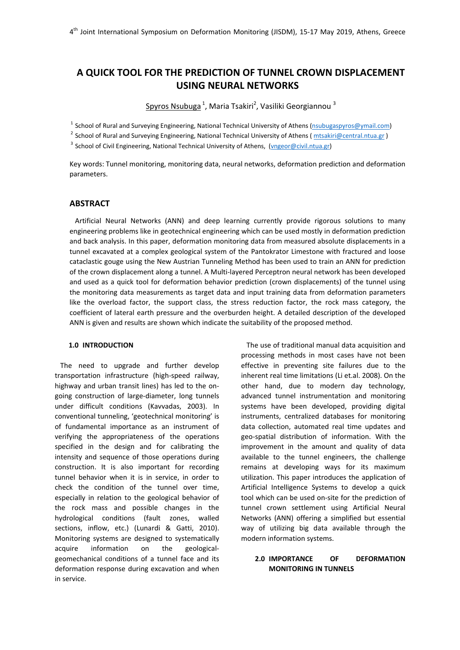# **A QUICK TOOL FOR THE PREDICTION OF TUNNEL CROWN DISPLACEMENT USING NEURAL NETWORKS**

Spyros Nsubuga <sup>1</sup>, Maria Tsakiri<sup>2</sup>, Vasiliki Georgiannou <sup>3</sup>

<sup>1</sup> School of Rural and Surveying Engineering, National Technical University of Athens (nsubugaspyros@ymail.com)

<sup>2</sup> School of Rural and Surveying Engineering, National Technical University of Athens (*mtsakiri@central.ntua.gr*)

<sup>3</sup> School of Civil Engineering, National Technical University of Athens, (vngeor@civil.ntua.gr)

Key words: Tunnel monitoring, monitoring data, neural networks, deformation prediction and deformation parameters.

# **ABSTRACT**

Artificial Neural Networks (ANN) and deep learning currently provide rigorous solutions to many engineering problems like in geotechnical engineering which can be used mostly in deformation prediction and back analysis. In this paper, deformation monitoring data from measured absolute displacements in a tunnel excavated at a complex geological system of the Pantokrator Limestone with fractured and loose cataclastic gouge using the New Austrian Tunneling Method has been used to train an ANN for prediction of the crown displacement along a tunnel. A Multi‐layered Perceptron neural network has been developed and used as a quick tool for deformation behavior prediction (crown displacements) of the tunnel using the monitoring data measurements as target data and input training data from deformation parameters like the overload factor, the support class, the stress reduction factor, the rock mass category, the coefficient of lateral earth pressure and the overburden height. A detailed description of the developed ANN is given and results are shown which indicate the suitability of the proposed method.

# **1.0 INTRODUCTION**

The need to upgrade and further develop transportation infrastructure (high‐speed railway, highway and urban transit lines) has led to the on‐ going construction of large‐diameter, long tunnels under difficult conditions (Kavvadas, 2003). In conventional tunneling, 'geotechnical monitoring' is of fundamental importance as an instrument of verifying the appropriateness of the operations specified in the design and for calibrating the intensity and sequence of those operations during construction. It is also important for recording tunnel behavior when it is in service, in order to check the condition of the tunnel over time, especially in relation to the geological behavior of the rock mass and possible changes in the hydrological conditions (fault zones, walled sections, inflow, etc.) (Lunardi & Gatti, 2010). Monitoring systems are designed to systematically acquire information on the geological‐ geomechanical conditions of a tunnel face and its deformation response during excavation and when in service.

The use of traditional manual data acquisition and processing methods in most cases have not been effective in preventing site failures due to the inherent real time limitations (Li et.al. 2008). On the other hand, due to modern day technology, advanced tunnel instrumentation and monitoring systems have been developed, providing digital instruments, centralized databases for monitoring data collection, automated real time updates and geo‐spatial distribution of information. With the improvement in the amount and quality of data available to the tunnel engineers, the challenge remains at developing ways for its maximum utilization. This paper introduces the application of Artificial Intelligence Systems to develop a quick tool which can be used on‐site for the prediction of tunnel crown settlement using Artificial Neural Networks (ANN) offering a simplified but essential way of utilizing big data available through the modern information systems.

# **2.0 IMPORTANCE OF DEFORMATION MONITORING IN TUNNELS**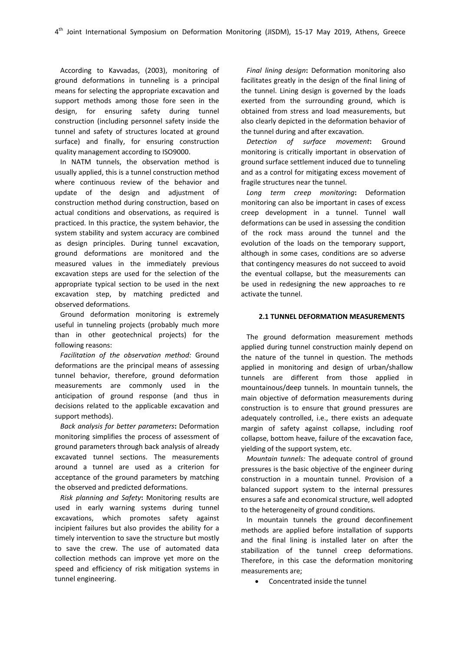According to Kavvadas, (2003), monitoring of ground deformations in tunneling is a principal means for selecting the appropriate excavation and support methods among those fore seen in the design, for ensuring safety during tunnel construction (including personnel safety inside the tunnel and safety of structures located at ground surface) and finally, for ensuring construction quality management according to ISO9000.

In NATM tunnels, the observation method is usually applied, this is a tunnel construction method where continuous review of the behavior and update of the design and adjustment of construction method during construction, based on actual conditions and observations, as required is practiced. In this practice, the system behavior, the system stability and system accuracy are combined as design principles. During tunnel excavation, ground deformations are monitored and the measured values in the immediately previous excavation steps are used for the selection of the appropriate typical section to be used in the next excavation step, by matching predicted and observed deformations.

Ground deformation monitoring is extremely useful in tunneling projects (probably much more than in other geotechnical projects) for the following reasons:

*Facilitation of the observation method:* Ground deformations are the principal means of assessing tunnel behavior, therefore, ground deformation measurements are commonly used in the anticipation of ground response (and thus in decisions related to the applicable excavation and support methods).

*Back analysis for better parameters***:** Deformation monitoring simplifies the process of assessment of ground parameters through back analysis of already excavated tunnel sections. The measurements around a tunnel are used as a criterion for acceptance of the ground parameters by matching the observed and predicted deformations.

*Risk planning and Safety***:** Monitoring results are used in early warning systems during tunnel excavations, which promotes safety against incipient failures but also provides the ability for a timely intervention to save the structure but mostly to save the crew. The use of automated data collection methods can improve yet more on the speed and efficiency of risk mitigation systems in tunnel engineering.

*Final lining design***:** Deformation monitoring also facilitates greatly in the design of the final lining of the tunnel. Lining design is governed by the loads exerted from the surrounding ground, which is obtained from stress and load measurements, but also clearly depicted in the deformation behavior of the tunnel during and after excavation.

*Detection of surface movement***:** Ground monitoring is critically important in observation of ground surface settlement induced due to tunneling and as a control for mitigating excess movement of fragile structures near the tunnel.

*Long term creep monitoring***:** Deformation monitoring can also be important in cases of excess creep development in a tunnel. Tunnel wall deformations can be used in assessing the condition of the rock mass around the tunnel and the evolution of the loads on the temporary support, although in some cases, conditions are so adverse that contingency measures do not succeed to avoid the eventual collapse, but the measurements can be used in redesigning the new approaches to re activate the tunnel.

## **2.1 TUNNEL DEFORMATION MEASUREMENTS**

The ground deformation measurement methods applied during tunnel construction mainly depend on the nature of the tunnel in question. The methods applied in monitoring and design of urban/shallow tunnels are different from those applied in mountainous/deep tunnels. In mountain tunnels, the main objective of deformation measurements during construction is to ensure that ground pressures are adequately controlled, i.e., there exists an adequate margin of safety against collapse, including roof collapse, bottom heave, failure of the excavation face, yielding of the support system, etc.

*Mountain tunnels:* The adequate control of ground pressures is the basic objective of the engineer during construction in a mountain tunnel. Provision of a balanced support system to the internal pressures ensures a safe and economical structure, well adopted to the heterogeneity of ground conditions.

In mountain tunnels the ground deconfinement methods are applied before installation of supports and the final lining is installed later on after the stabilization of the tunnel creep deformations. Therefore, in this case the deformation monitoring measurements are;

• Concentrated inside the tunnel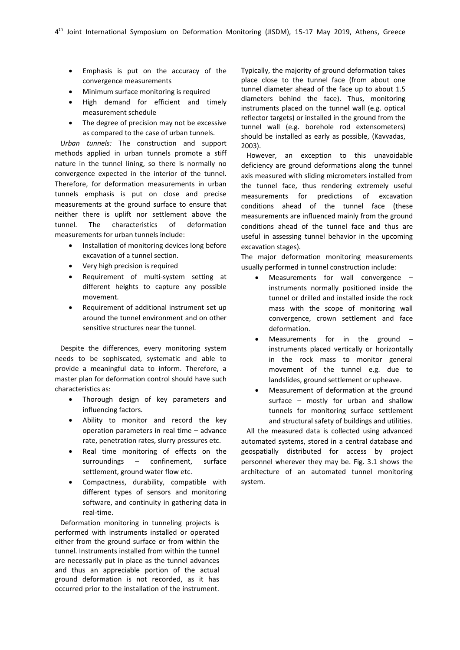- Emphasis is put on the accuracy of the convergence measurements
- Minimum surface monitoring is required
- High demand for efficient and timely measurement schedule
- The degree of precision may not be excessive as compared to the case of urban tunnels.

*Urban tunnels:* The construction and support methods applied in urban tunnels promote a stiff nature in the tunnel lining, so there is normally no convergence expected in the interior of the tunnel. Therefore, for deformation measurements in urban tunnels emphasis is put on close and precise measurements at the ground surface to ensure that neither there is uplift nor settlement above the tunnel. The characteristics of deformation measurements for urban tunnels include:

- Installation of monitoring devices long before excavation of a tunnel section.
- Very high precision is required
- Requirement of multi‐system setting at different heights to capture any possible movement.
- Requirement of additional instrument set up around the tunnel environment and on other sensitive structures near the tunnel.

Despite the differences, every monitoring system needs to be sophiscated, systematic and able to provide a meaningful data to inform. Therefore, a master plan for deformation control should have such characteristics as:

- Thorough design of key parameters and influencing factors.
- Ability to monitor and record the key operation parameters in real time – advance rate, penetration rates, slurry pressures etc.
- Real time monitoring of effects on the surroundings – confinement, surface settlement, ground water flow etc.
- Compactness, durability, compatible with different types of sensors and monitoring software, and continuity in gathering data in real‐time.

Deformation monitoring in tunneling projects is performed with instruments installed or operated either from the ground surface or from within the tunnel. Instruments installed from within the tunnel are necessarily put in place as the tunnel advances and thus an appreciable portion of the actual ground deformation is not recorded, as it has occurred prior to the installation of the instrument.

Typically, the majority of ground deformation takes place close to the tunnel face (from about one tunnel diameter ahead of the face up to about 1.5 diameters behind the face). Thus, monitoring instruments placed on the tunnel wall (e.g. optical reflector targets) or installed in the ground from the tunnel wall (e.g. borehole rod extensometers) should be installed as early as possible, (Kavvadas, 2003).

However, an exception to this unavoidable deficiency are ground deformations along the tunnel axis measured with sliding micrometers installed from the tunnel face, thus rendering extremely useful measurements for predictions of excavation conditions ahead of the tunnel face (these measurements are influenced mainly from the ground conditions ahead of the tunnel face and thus are useful in assessing tunnel behavior in the upcoming excavation stages).

The major deformation monitoring measurements usually performed in tunnel construction include:

- Measurements for wall convergence instruments normally positioned inside the tunnel or drilled and installed inside the rock mass with the scope of monitoring wall convergence, crown settlement and face deformation.
- Measurements for in the ground instruments placed vertically or horizontally in the rock mass to monitor general movement of the tunnel e.g. due to landslides, ground settlement or upheave.
- Measurement of deformation at the ground surface – mostly for urban and shallow tunnels for monitoring surface settlement and structural safety of buildings and utilities.

All the measured data is collected using advanced automated systems, stored in a central database and geospatially distributed for access by project personnel wherever they may be. Fig. 3.1 shows the architecture of an automated tunnel monitoring system.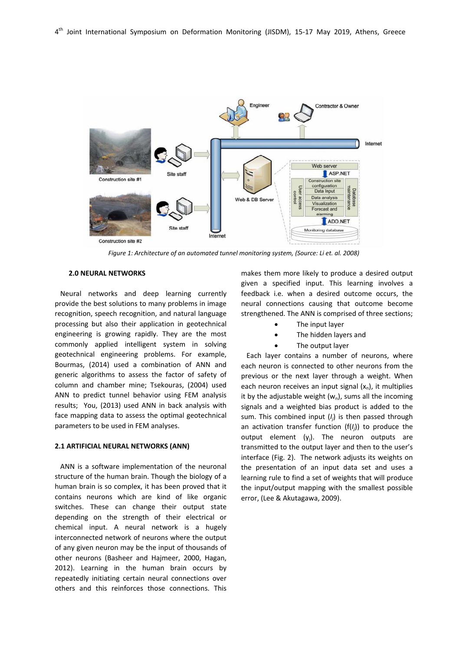

*Figure 1: Architecture of an automated tunnel monitoring system, (Source: Li et. al. 2008)*

## **2.0 NEURAL NETWORKS**

Neural networks and deep learning currently provide the best solutions to many problems in image recognition, speech recognition, and natural language processing but also their application in geotechnical engineering is growing rapidly. They are the most commonly applied intelligent system in solving geotechnical engineering problems. For example, Bourmas, (2014) used a combination of ANN and generic algorithms to assess the factor of safety of column and chamber mine; Tsekouras, (2004) used ANN to predict tunnel behavior using FEM analysis results; You, (2013) used ANN in back analysis with face mapping data to assess the optimal geotechnical parameters to be used in FEM analyses.

## **2.1 ARTIFICIAL NEURAL NETWORKS (ANN)**

ANN is a software implementation of the neuronal structure of the human brain. Though the biology of a human brain is so complex, it has been proved that it contains neurons which are kind of like organic switches. These can change their output state depending on the strength of their electrical or chemical input. A neural network is a hugely interconnected network of neurons where the output of any given neuron may be the input of thousands of other neurons (Basheer and Hajmeer, 2000, Hagan, 2012). Learning in the human brain occurs by repeatedly initiating certain neural connections over others and this reinforces those connections. This

makes them more likely to produce a desired output given a specified input. This learning involves a feedback i.e. when a desired outcome occurs, the neural connections causing that outcome become strengthened. The ANN is comprised of three sections;

- The input layer
- The hidden layers and
- The output layer

Each layer contains a number of neurons, where each neuron is connected to other neurons from the previous or the next layer through a weight. When each neuron receives an input signal  $(x_n)$ , it multiplies it by the adjustable weight  $(w_n)$ , sums all the incoming signals and a weighted bias product is added to the sum. This combined input (*Ij* ) is then passed through an activation transfer function (f(*Ij* )) to produce the output element  $(y_i)$ . The neuron outputs are transmitted to the output layer and then to the user's interface (Fig. 2). The network adjusts its weights on the presentation of an input data set and uses a learning rule to find a set of weights that will produce the input/output mapping with the smallest possible error, (Lee & Akutagawa, 2009).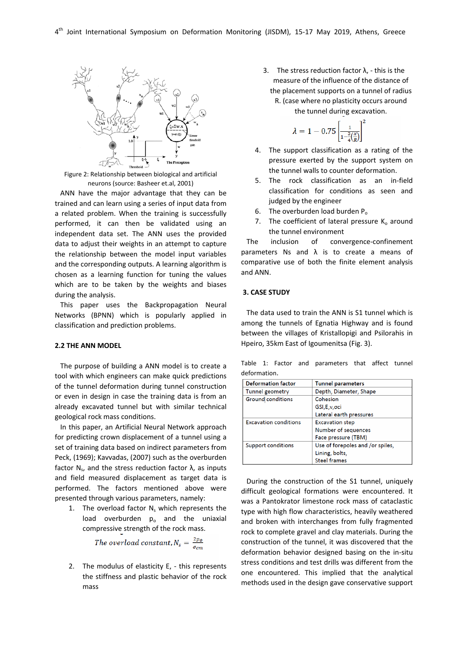

Figure 2: Relationship between biological and artificial neurons (source: Basheer et.al, 2001)

ANN have the major advantage that they can be trained and can learn using a series of input data from a related problem. When the training is successfully performed, it can then be validated using an independent data set. The ANN uses the provided data to adjust their weights in an attempt to capture the relationship between the model input variables and the corresponding outputs. A learning algorithm is chosen as a learning function for tuning the values which are to be taken by the weights and biases during the analysis.

This paper uses the Backpropagation Neural Networks (BPNN) which is popularly applied in classification and prediction problems.

#### **2.2 THE ANN MODEL**

The purpose of building a ANN model is to create a tool with which engineers can make quick predictions of the tunnel deformation during tunnel construction or even in design in case the training data is from an already excavated tunnel but with similar technical geological rock mass conditions.

In this paper, an Artificial Neural Network approach for predicting crown displacement of a tunnel using a set of training data based on indirect parameters from Peck, (1969); Kavvadas, (2007) such as the overburden factor  $N_s$ , and the stress reduction factor  $\lambda$ , as inputs and field measured displacement as target data is performed. The factors mentioned above were presented through various parameters, namely:

1. The overload factor  $N_s$  which represents the load overburden  $p_0$  and the uniaxial compressive strength of the rock mass.

The overload constant,  $N_s = \frac{2p_0}{q_{cm}}$ 

2. The modulus of elasticity E, - this represents the stiffness and plastic behavior of the rock mass

3. The stress reduction factor  $\lambda$ , - this is the measure of the influence of the distance of the placement supports on a tunnel of radius R. (case where no plasticity occurs around

the tunnel during excavation.

$$
\lambda=1-0.75\left[\tfrac{1}{1-\frac{3}{4}(\frac{x}{R})}\right]^2
$$

- 4. The support classification as a rating of the pressure exerted by the support system on the tunnel walls to counter deformation.
- 5. The rock classification as an in‐field classification for conditions as seen and judged by the engineer
- 6. The overburden load burden  $P_0$
- 7. The coefficient of lateral pressure  $K_0$  around the tunnel environment

The inclusion of convergence-confinement parameters Ns and  $\lambda$  is to create a means of comparative use of both the finite element analysis and ANN.

# **3. CASE STUDY**

The data used to train the ANN is S1 tunnel which is among the tunnels of Egnatia Highway and is found between the villages of Kristallopigi and Psilorahis in Hpeiro, 35km East of Igoumenitsa (Fig. 3).

Table 1: Factor and parameters that affect tunnel deformation.

| <b>Deformation factor</b>    | <b>Tunnel parameters</b>         |
|------------------------------|----------------------------------|
| Tunnel geometry              | Depth, Diameter, Shape           |
| Ground conditions            | Cohesion                         |
|                              | GSI, E, v, oci                   |
|                              | Lateral earth pressures          |
| <b>Excavation conditions</b> | <b>Excavation step</b>           |
|                              | Number of sequences              |
|                              | Face pressure (TBM)              |
| <b>Support conditions</b>    | Use of forepoles and /or spiles, |
|                              | Lining, bolts,                   |
|                              | <b>Steel frames</b>              |

During the construction of the S1 tunnel, uniquely difficult geological formations were encountered. It was a Pantokrator limestone rock mass of cataclastic type with high flow characteristics, heavily weathered and broken with interchanges from fully fragmented rock to complete gravel and clay materials. During the construction of the tunnel, it was discovered that the deformation behavior designed basing on the in‐situ stress conditions and test drills was different from the one encountered. This implied that the analytical methods used in the design gave conservative support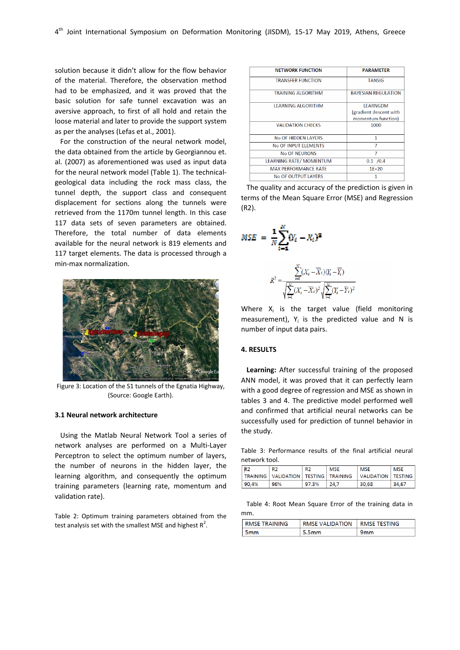solution because it didn't allow for the flow behavior of the material. Therefore, the observation method had to be emphasized, and it was proved that the basic solution for safe tunnel excavation was an aversive approach, to first of all hold and retain the loose material and later to provide the support system as per the analyses (Lefas et al., 2001).

For the construction of the neural network model, the data obtained from the article by Georgiannou et. al. (2007) as aforementioned was used as input data for the neural network model (Table 1). The technical‐ geological data including the rock mass class, the tunnel depth, the support class and consequent displacement for sections along the tunnels were retrieved from the 1170m tunnel length. In this case 117 data sets of seven parameters are obtained. Therefore, the total number of data elements available for the neural network is 819 elements and 117 target elements. The data is processed through a min‐max normalization.



Figure 3: Location of the S1 tunnels of the Egnatia Highway, (Source: Google Earth).

## **3.1 Neural network architecture**

Using the Matlab Neural Network Tool a series of network analyses are performed on a Multi‐Layer Perceptron to select the optimum number of layers, the number of neurons in the hidden layer, the learning algorithm, and consequently the optimum training parameters (learning rate, momentum and validation rate).

Table 2: Optimum training parameters obtained from the test analysis set with the smallest MSE and highest  $R^2$ .

| <b>NETWORK FUNCTION</b>        | <b>PARAMETER</b>                                                |  |  |  |
|--------------------------------|-----------------------------------------------------------------|--|--|--|
| <b>TRANSFER FUNCTION</b>       | <b>TANSIG</b>                                                   |  |  |  |
| <b>TRAINING AI GORITHM</b>     | <b>BAYESIAN REGULATION</b>                                      |  |  |  |
| <b>I FARNING AI GORITHM</b>    | <b>LEARNGDM</b><br>(gradient descent with<br>momentum function) |  |  |  |
| <b>VALIDATION CHECKS</b>       | 1000                                                            |  |  |  |
| No OF HIDDEN LAYERS            | 1                                                               |  |  |  |
| No OF INPUT ELEMENTS           | 7                                                               |  |  |  |
| <b>No OF NEURONS</b>           | 7                                                               |  |  |  |
| <b>LEARNING RATE/ MOMENTUM</b> | 0.1 / 0.4                                                       |  |  |  |
| <b>MAX PERFORMANCE RATE</b>    | $1E + 20$                                                       |  |  |  |
| No OF OUTPUT LAYERS            | 1                                                               |  |  |  |

The quality and accuracy of the prediction is given in terms of the Mean Square Error (MSE) and Regression (R2).

$$
MSE = \frac{1}{N} \sum_{i=1}^{N} (Y_i - X_i)^2
$$

$$
R^2 = \frac{\displaystyle\sum_{i=1}^{N} (X_i - \overline{X}_i)(Y_i - \overline{Y}_i)}{\sqrt{\displaystyle\sum_{i=1}^{N} (X_i - \overline{X}_i)^2} \sqrt{\displaystyle\sum_{i=1}^{N} (Y_i - \overline{Y}_i)^2}}
$$

Where  $X_i$  is the target value (field monitoring measurement),  $Y_i$  is the predicted value and N is number of input data pairs.

# **4. RESULTS**

**Learning:** After successful training of the proposed ANN model, it was proved that it can perfectly learn with a good degree of regression and MSE as shown in tables 3 and 4. The predictive model performed well and confirmed that artificial neural networks can be successfully used for prediction of tunnel behavior in the study.

Table 3: Performance results of the final artificial neural network tool.

| R <sub>2</sub> | R <sub>2</sub>                             | R <sub>2</sub> | MSE  | <b>MSE</b>          | <b>MSE</b>     |  |
|----------------|--------------------------------------------|----------------|------|---------------------|----------------|--|
|                | TRAINING   VALIDATION   TESTING   TRAINING |                |      | <b>VALIDATION</b> I | <b>TESTING</b> |  |
| 90.4%          | 96%                                        | 97.3%          | 24.7 | 30,68               | 34.67          |  |

Table 4: Root Mean Square Error of the training data in mm.

| <b>RMSE TRAINING</b> | <b>RMSE VALIDATION   RMSE TESTING</b> |  |  |  |
|----------------------|---------------------------------------|--|--|--|
| 5 <sub>mm</sub>      | 5.5 <sub>mm</sub>                     |  |  |  |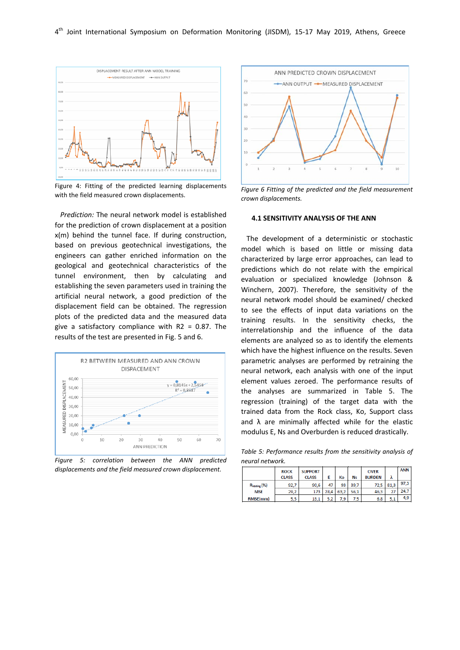

Figure 4: Fitting of the predicted learning displacements with the field measured crown displacements.

*Prediction:* The neural network model is established for the prediction of crown displacement at a position x(m) behind the tunnel face. If during construction, based on previous geotechnical investigations, the engineers can gather enriched information on the geological and geotechnical characteristics of the tunnel environment, then by calculating and establishing the seven parameters used in training the artificial neural network, a good prediction of the displacement field can be obtained. The regression plots of the predicted data and the measured data give a satisfactory compliance with R2 = 0.87. The results of the test are presented in Fig. 5 and 6.



*Figure 5: correlation between the ANN predicted displacements and the field measured crown displacement.*



*Figure 6 Fitting of the predicted and the field measurement crown displacements.*

#### **4.1 SENSITIVITY ANALYSIS OF THE ANN**

The development of a deterministic or stochastic model which is based on little or missing data characterized by large error approaches, can lead to predictions which do not relate with the empirical evaluation or specialized knowledge (Johnson & Winchern, 2007). Therefore, the sensitivity of the neural network model should be examined/ checked to see the effects of input data variations on the training results. In the sensitivity checks, the interrelationship and the influence of the data elements are analyzed so as to identify the elements which have the highest influence on the results. Seven parametric analyses are performed by retraining the neural network, each analysis with one of the input element values zeroed. The performance results of the analyses are summarized in Table 5. The regression (training) of the target data with the trained data from the Rock class, Ko, Support class and  $\lambda$  are minimally affected while for the elastic modulus E, Ns and Overburden is reduced drastically.

*Table 5: Performance results from the sensitivity analysis of neural network.*

|                 | <b>ROCK</b>  | <b>SUPPORT</b> |      |      |      | <b>OVER</b>   |      | <b>ANN</b> |
|-----------------|--------------|----------------|------|------|------|---------------|------|------------|
|                 | <b>CLASS</b> | <b>CLASS</b>   | Ε    | Кo   | Ns   | <b>BURDEN</b> | ٨    |            |
| Rtesting (%)    | 92,7         | 90.6           | 47   | 93   | 39.7 | 72.5          | 81.3 | 97.3       |
| <b>MSE</b>      | 29,2         | 173            | 28.4 | 63.2 | 56.1 | 46.3          | 27   | 24,7       |
| <b>RMSE(mm)</b> | 5,5          | 13.1           | 5.2  | 7.9  | 7.5  | 6.8           | 5.1  | 4,9        |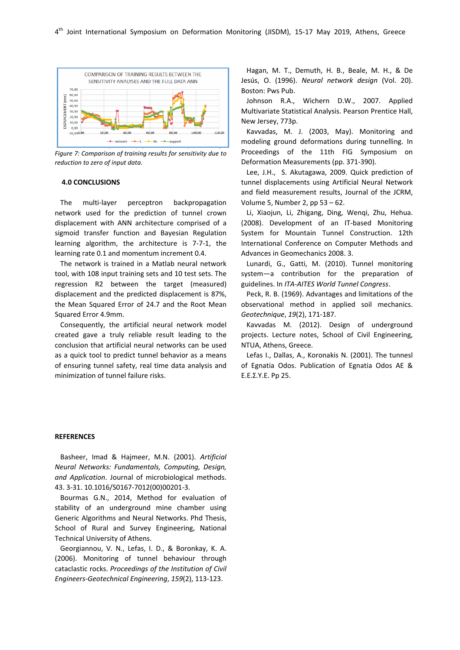

*Figure 7: Comparison of training results for sensitivity due to reduction to zero of input data.*

## **4.0 CONCLUSIONS**

The multi‐layer perceptron backpropagation network used for the prediction of tunnel crown displacement with ANN architecture comprised of a sigmoid transfer function and Bayesian Regulation learning algorithm, the architecture is 7‐7‐1, the learning rate 0.1 and momentum increment 0.4.

The network is trained in a Matlab neural network tool, with 108 input training sets and 10 test sets. The regression R2 between the target (measured) displacement and the predicted displacement is 87%, the Mean Squared Error of 24.7 and the Root Mean Squared Error 4.9mm.

Consequently, the artificial neural network model created gave a truly reliable result leading to the conclusion that artificial neural networks can be used as a quick tool to predict tunnel behavior as a means of ensuring tunnel safety, real time data analysis and minimization of tunnel failure risks.

Hagan, M. T., Demuth, H. B., Beale, M. H., & De Jesús, O. (1996). *Neural network design* (Vol. 20). Boston: Pws Pub.

Johnson R.A., Wichern D.W., 2007. Applied Multivariate Statistical Analysis. Pearson Prentice Hall, New Jersey, 773p.

Kavvadas, M. J. (2003, May). Monitoring and modeling ground deformations during tunnelling. In Proceedings of the 11th FIG Symposium on Deformation Measurements (pp. 371‐390).

Lee, J.H., S. Akutagawa, 2009. Quick prediction of tunnel displacements using Artificial Neural Network and field measurement results, Journal of the JCRM, Volume 5, Number 2, pp 53 – 62.

Li, Xiaojun, Li, Zhigang, Ding, Wenqi, Zhu, Hehua. (2008). Development of an IT‐based Monitoring System for Mountain Tunnel Construction. 12th International Conference on Computer Methods and Advances in Geomechanics 2008. 3.

Lunardi, G., Gatti, M. (2010). Tunnel monitoring system—a contribution for the preparation of guidelines. In *ITA‐AITES World Tunnel Congress*.

Peck, R. B. (1969). Advantages and limitations of the observational method in applied soil mechanics. *Geotechnique*, *19*(2), 171‐187.

Kavvadas Μ. (2012). Design of underground projects. Lecture notes, School of Civil Engineering, NTUA, Athens, Greece.

Lefas I., Dallas, A., Koronakis N. (2001). The tunnesl of Egnatia Odos. Publication of Egnatia Odos AE & Ε.Ε.Σ.Υ.Ε. Pp 25.

#### **REFERENCES**

Basheer, Imad & Hajmeer, M.N. (2001). *Artificial Neural Networks: Fundamentals, Computing, Design, and Application*. Journal of microbiological methods. 43. 3‐31. 10.1016/S0167‐7012(00)00201‐3.

Bourmas G.N., 2014, Method for evaluation of stability of an underground mine chamber using Generic Algorithms and Neural Networks. Phd Thesis, School of Rural and Survey Engineering, National Technical University of Athens.

Georgiannou, V. N., Lefas, I. D., & Boronkay, K. A. (2006). Monitoring of tunnel behaviour through cataclastic rocks. *Proceedings of the Institution of Civil Engineers‐Geotechnical Engineering*, *159*(2), 113‐123.